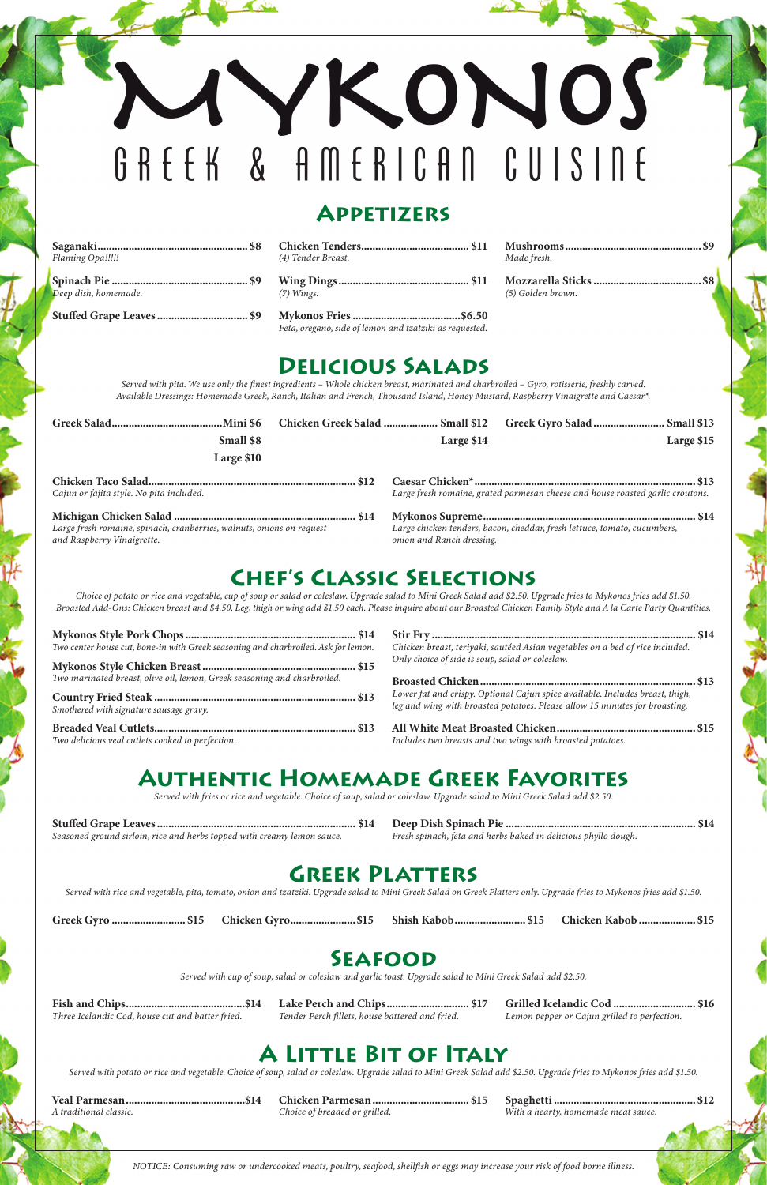# YKONOS GREEK & AMERICAN CUISINE

#### **Appetizers**

Saganaki...................................................... \$8 Chicken Tenders....................................... \$11 Mushrooms.................................................\$9

| Flaming Opa!!!!! | (4) Tender Breast. | Made fresh. |
|------------------|--------------------|-------------|
|                  |                    | Mozzarel    |

Spinach Pie................................................. \$9 Wing Dings............................................... \$11 Mozzarella Sticks.......................................\$8 *Deep dish, homemade. (7) Wings. (5) Golden brown.*

Stuffed Grape Leaves................................. \$9 Mykonos Fries.......................................\$6.50

| 4) Tender Breast. |  |
|-------------------|--|

*Feta, oregano, side of lemon and tzatziki as requested.*

#### **Delicious Salads**

*Served with pita. We use only the finest ingredients – Whole chicken breast, marinated and charbroiled – Gyro, rotisserie, freshly carved. Available Dressings: Homemade Greek, Ranch, Italian and French, Thousand Island, Honey Mustard, Raspberry Vinaigrette and Caesar\*.*

|                                                                                                     | Chicken Greek Salad  Small \$12 |                           | Greek Gyro Salad  Small \$13                                                   |
|-----------------------------------------------------------------------------------------------------|---------------------------------|---------------------------|--------------------------------------------------------------------------------|
| Small \$8                                                                                           |                                 | Large \$14                | Large \$15                                                                     |
| Large \$10                                                                                          |                                 |                           |                                                                                |
| Cajun or fajita style. No pita included.                                                            |                                 |                           | Large fresh romaine, grated parmesan cheese and house roasted garlic croutons. |
| Large fresh romaine, spinach, cranberries, walnuts, onions on request<br>and Raspberry Vinaigrette. |                                 | onion and Ranch dressing. | Large chicken tenders, bacon, cheddar, fresh lettuce, tomato, cucumbers,       |

### **Chef's Classic Selections**

*Choice of potato or rice and vegetable, cup of soup or salad or coleslaw. Upgrade salad to Mini Greek Salad add \$2.50. Upgrade fries to Mykonos fries add \$1.50. Broasted Add-Ons: Chicken breast and \$4.50. Leg, thigh or wing add \$1.50 each. Please inquire about our Broasted Chicken Family Style and A la Carte Party Quantities.*

## **Authentic Homemade Greek Favorites**

*Served with fries or rice and vegetable. Choice of soup, salad or coleslaw. Upgrade salad to Mini Greek Salad add \$2.50.*

Stuffed Grape Leaves....................................................................... \$14 Deep Dish Spinach Pie.................................................................... \$14

*Seasoned ground sirloin, rice and herbs topped with creamy lemon sauce. Fresh spinach, feta and herbs baked in delicious phyllo dough.*

#### **Greek Platters**

*Served with rice and vegetable, pita, tomato, onion and tzatziki. Upgrade salad to Mini Greek Salad on Greek Platters only. Upgrade fries to Mykonos fries add \$1.50.*

Greek Gyro........................... \$15 Chicken Gyro........................\$15 Shish Kabob.......................... \$15 Chicken Kabob..................... \$15

#### **Seafood**

*Served with cup of soup, salad or coleslaw and garlic toast. Upgrade salad to Mini Greek Salad add \$2.50.*

| Two center house cut, bone-in with Greek seasoning and charbroiled. Ask for lemon. | Chicken breast, teriyaki, sautéed Asian vegetables on a bed of rice included. |
|------------------------------------------------------------------------------------|-------------------------------------------------------------------------------|
|                                                                                    | Only choice of side is soup, salad or coleslaw.                               |
| Two marinated breast, olive oil, lemon, Greek seasoning and charbroiled.           |                                                                               |
|                                                                                    | Lower fat and crispy. Optional Cajun spice available. Includes breast, thigh, |
| Smothered with signature sausage gravy.                                            | leg and wing with broasted potatoes. Please allow 15 minutes for broasting.   |
|                                                                                    |                                                                               |
| Two delicious veal cutlets cooked to perfection.                                   | Includes two breasts and two wings with broasted potatoes.                    |

Fish and Chips...........................................\$14 Lake Perch and Chips.............................. \$17 Grilled Icelandic Cod.............................. \$16

*Three Icelandic Cod, house cut and batter fried. Tender Perch fillets, house battered and fried. Lemon pepper or Cajun grilled to perfection.*

### **A Little Bit of Italy**

*Served with potato or rice and vegetable. Choice of soup, salad or coleslaw. Upgrade salad to Mini Greek Salad add \$2.50. Upgrade fries to Mykonos fries add \$1.50.*

Veal Parmesan...........................................\$14 Chicken Parmesan................................... \$15 Spaghetti................................................... \$12

*A traditional classic. Choice of breaded or grilled. With a hearty, homemade meat sauce.*

*NOTICE: Consuming raw or undercooked meats, poultry, seafood, shellfish or eggs may increase your risk of food borne illness.*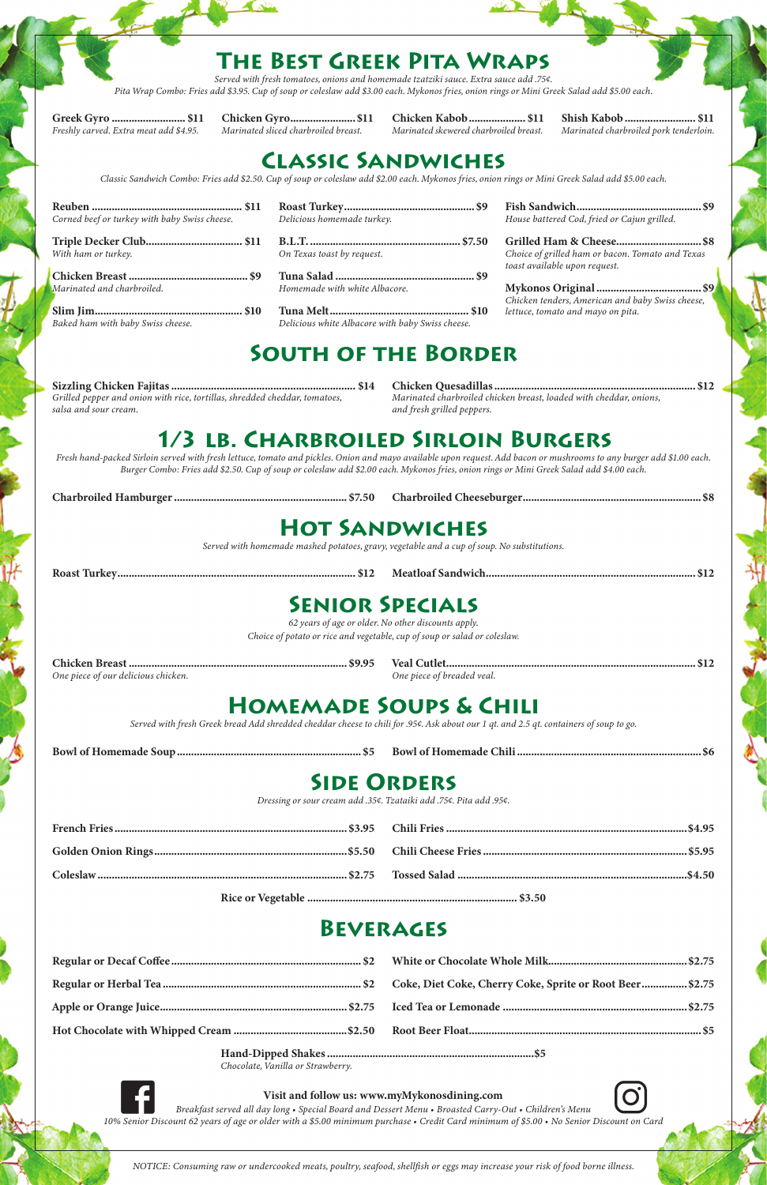### **The Best Greek Pita Wraps**

*Served with fresh tomatoes, onions and homemade tzatziki sauce. Extra sauce add .75¢. Pita Wrap Combo: Fries add \$3.95. Cup of soup or coleslaw add \$3.00 each. Mykonos fries, onion rings or Mini Greek Salad add \$5.00 each.*

Greek Gyro........................... \$11 Chicken Gyro........................\$11 Chicken Kabob..................... \$11 Shish Kabob.......................... \$11

*Freshly carved. Extra meat add \$4.95. Marinated sliced charbroiled breast. Marinated skewered charbroiled breast. Marinated charbroiled pork tenderloin.*

# **Classic Sandwiches**

*Classic Sandwich Combo: Fries add \$2.50. Cup of soup or coleslaw add \$2.00 each. Mykonos fries, onion rings or Mini Greek Salad add \$5.00 each.*

Sizzling Chicken Fajitas.................................................................. \$14 Chicken Quesadillas........................................................................ \$12 *Grilled pepper and onion with rice, tortillas, shredded cheddar, tomatoes, Marinated charbroiled chicken breast, loaded with cheddar, onions, salsa and sour cream. and fresh grilled peppers.*

## **1/3 lb. Charbroiled Sirloin Burgers**

*Fresh hand-packed Sirloin served with fresh lettuce, tomato and pickles. Onion and mayo available upon request. Add bacon or mushrooms to any burger add \$1.00 each. Burger Combo: Fries add \$2.50. Cup of soup or coleslaw add \$2.00 each. Mykonos fries, onion rings or Mini Greek Salad add \$4.00 each.*

Charbroiled Hamburger.............................................................. \$7.50 Charbroiled Cheeseburger................................................................\$8

# **Hot Sandwiches**

*Served with homemade mashed potatoes, gravy, vegetable and a cup of soup. No substitutions.*

Roast Turkey..................................................................................... \$12 Meatloaf Sandwich........................................................................... \$12

### **Senior Specials**

*62 years of age or older. No other discounts apply. Choice of potato or rice and vegetable, cup of soup or salad or coleslaw.*

Chicken Breast.............................................................................. \$9.95 Veal Cutlet......................................................................................... \$12

*One piece of our delicious chicken. One piece of breaded veal.*

# **Homemade Soups & Chili**

*Served with fresh Greek bread Add shredded cheddar cheese to chili for .95¢. Ask about our 1 qt. and 2.5 qt. containers of soup to go.*

| Corned beef or turkey with baby Swiss cheese. | Delicious homemade turkey.                       | House battered Cod, fried or Cajun grilled.                                       |  |  |  |
|-----------------------------------------------|--------------------------------------------------|-----------------------------------------------------------------------------------|--|--|--|
| With ham or turkey.                           | On Texas toast by request.                       | Choice of grilled ham or bacon. Tomato and Texas<br>toast available upon request. |  |  |  |
| Marinated and charbroiled.                    | Homemade with white Albacore.                    | Chicken tenders, American and baby Swiss cheese,                                  |  |  |  |
| Baked ham with baby Swiss cheese.             | Delicious white Albacore with baby Swiss cheese. | lettuce, tomato and mayo on pita.                                                 |  |  |  |
| <b>SOUTH OF THE BORDER</b>                    |                                                  |                                                                                   |  |  |  |

| <b>Bow</b> |  |
|------------|--|
|            |  |

# **Side Orders**

*Dressing or sour cream add .35¢. Tzataiki add .75¢. Pita add .95¢.*

| - - - | . |
|-------|---|

Coleslaw......................................................................................... \$2.75 Tossed Salad..................................................................................\$4.50

Rice or Vegetable........................................................................... \$3.50

#### **Beverages**

*Chocolate, Vanilla or Strawberry.*

#### Visit and follow us: www.myMykonosdining.com

*Breakfast served all day long • Special Board and Dessert Menu • Broasted Carry-Out • Children's Menu 10% Senior Discount 62 years of age or older with a \$5.00 minimum purchase • Credit Card minimum of \$5.00 • No Senior Discount on Card*

*NOTICE: Consuming raw or undercooked meats, poultry, seafood, shellfish or eggs may increase your risk of food borne illness.*